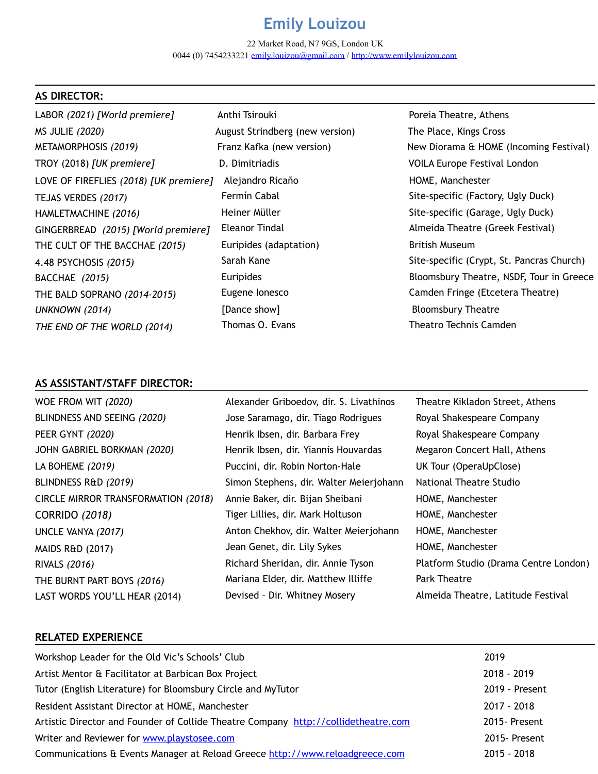# **Emily Louizou**

22 Market Road, N7 9GS, London UK 0044 (0) 7454233221 [emily.louizou@gmail.com](mailto:emily.louizou@gmail.com) / <http://www.emilylouizou.com>

| <b>AS DIRECTOR:</b>                    |                                 |                                           |
|----------------------------------------|---------------------------------|-------------------------------------------|
| LABOR (2021) [World premiere]          | Anthi Tsirouki                  | Poreia Theatre, Athens                    |
| <b>MS JULIE (2020)</b>                 | August Strindberg (new version) | The Place, Kings Cross                    |
| METAMORPHOSIS (2019)                   | Franz Kafka (new version)       | New Diorama & HOME (Incoming Festival)    |
| TROY (2018) [UK premiere]              | D. Dimitriadis                  | <b>VOILA Europe Festival London</b>       |
| LOVE OF FIREFLIES (2018) [UK premiere] | Alejandro Ricaño                | HOME, Manchester                          |
| TEJAS VERDES (2017)                    | Fermín Cabal                    | Site-specific (Factory, Ugly Duck)        |
| HAMLETMACHINE (2016)                   | Heiner Müller                   | Site-specific (Garage, Ugly Duck)         |
| GINGERBREAD (2015) [World premiere]    | <b>Eleanor Tindal</b>           | Almeida Theatre (Greek Festival)          |
| THE CULT OF THE BACCHAE (2015)         | Euripides (adaptation)          | <b>British Museum</b>                     |
| 4.48 PSYCHOSIS (2015)                  | Sarah Kane                      | Site-specific (Crypt, St. Pancras Church) |
| BACCHAE (2015)                         | Euripides                       | Bloomsbury Theatre, NSDF, Tour in Greece  |
| THE BALD SOPRANO (2014-2015)           | Eugene lonesco                  | Camden Fringe (Etcetera Theatre)          |
| <b>UNKNOWN (2014)</b>                  | [Dance show]                    | <b>Bloomsbury Theatre</b>                 |
| THE END OF THE WORLD (2014)            | Thomas O. Evans                 | Theatro Technis Camden                    |

## **AS ASSISTANT/STAFF DIRECTOR:**

| WOE FROM WIT (2020)                 | Alexander Griboedov, dir. S. Livathinos | Theatre Kikladon Street, Athens       |
|-------------------------------------|-----------------------------------------|---------------------------------------|
| BLINDNESS AND SEEING (2020)         | Jose Saramago, dir. Tiago Rodrigues     | Royal Shakespeare Company             |
| PEER GYNT (2020)                    | Henrik Ibsen, dir. Barbara Frey         | Royal Shakespeare Company             |
| JOHN GABRIEL BORKMAN (2020)         | Henrik Ibsen, dir. Yiannis Houvardas    | Megaron Concert Hall, Athens          |
| LA BOHEME (2019)                    | Puccini, dir. Robin Norton-Hale         | UK Tour (OperaUpClose)                |
| BLINDNESS R&D (2019)                | Simon Stephens, dir. Walter Meierjohann | National Theatre Studio               |
| CIRCLE MIRROR TRANSFORMATION (2018) | Annie Baker, dir. Bijan Sheibani        | HOME, Manchester                      |
| <b>CORRIDO (2018)</b>               | Tiger Lillies, dir. Mark Holtuson       | HOME, Manchester                      |
| UNCLE VANYA (2017)                  | Anton Chekhov, dir. Walter Meierjohann  | HOME, Manchester                      |
| <b>MAIDS R&amp;D (2017)</b>         | Jean Genet, dir. Lily Sykes             | HOME, Manchester                      |
| <b>RIVALS (2016)</b>                | Richard Sheridan, dir. Annie Tyson      | Platform Studio (Drama Centre London) |
| THE BURNT PART BOYS (2016)          | Mariana Elder, dir. Matthew Illiffe     | <b>Park Theatre</b>                   |
| LAST WORDS YOU'LL HEAR (2014)       | Devised - Dir. Whitney Mosery           | Almeida Theatre, Latitude Festival    |

## **RELATED EXPERIENCE**

| 2019           |
|----------------|
| $2018 - 2019$  |
| 2019 - Present |
| 2017 - 2018    |
| 2015- Present  |
| 2015- Present  |
| $2015 - 2018$  |
|                |